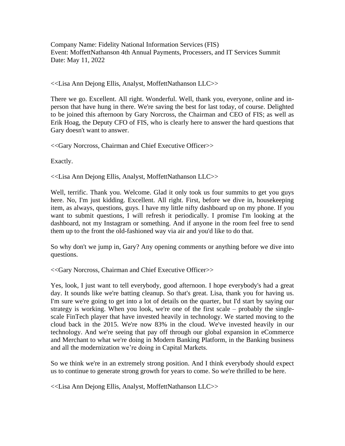Company Name: Fidelity National Information Services (FIS) Event: MoffettNathanson 4th Annual Payments, Processers, and IT Services Summit Date: May 11, 2022

<<Lisa Ann Dejong Ellis, Analyst, MoffettNathanson LLC>>

There we go. Excellent. All right. Wonderful. Well, thank you, everyone, online and inperson that have hung in there. We're saving the best for last today, of course. Delighted to be joined this afternoon by Gary Norcross, the Chairman and CEO of FIS; as well as Erik Hoag, the Deputy CFO of FIS, who is clearly here to answer the hard questions that Gary doesn't want to answer.

<<Gary Norcross, Chairman and Chief Executive Officer>>

Exactly.

<<Lisa Ann Dejong Ellis, Analyst, MoffettNathanson LLC>>

Well, terrific. Thank you. Welcome. Glad it only took us four summits to get you guys here. No, I'm just kidding. Excellent. All right. First, before we dive in, housekeeping item, as always, questions, guys. I have my little nifty dashboard up on my phone. If you want to submit questions, I will refresh it periodically. I promise I'm looking at the dashboard, not my Instagram or something. And if anyone in the room feel free to send them up to the front the old-fashioned way via air and you'd like to do that.

So why don't we jump in, Gary? Any opening comments or anything before we dive into questions.

<<Gary Norcross, Chairman and Chief Executive Officer>>

Yes, look, I just want to tell everybody, good afternoon. I hope everybody's had a great day. It sounds like we're batting cleanup. So that's great. Lisa, thank you for having us. I'm sure we're going to get into a lot of details on the quarter, but I'd start by saying our strategy is working. When you look, we're one of the first scale – probably the singlescale FinTech player that have invested heavily in technology. We started moving to the cloud back in the 2015. We're now 83% in the cloud. We've invested heavily in our technology. And we're seeing that pay off through our global expansion in eCommerce and Merchant to what we're doing in Modern Banking Platform, in the Banking business and all the modernization we're doing in Capital Markets.

So we think we're in an extremely strong position. And I think everybody should expect us to continue to generate strong growth for years to come. So we're thrilled to be here.

<<Lisa Ann Dejong Ellis, Analyst, MoffettNathanson LLC>>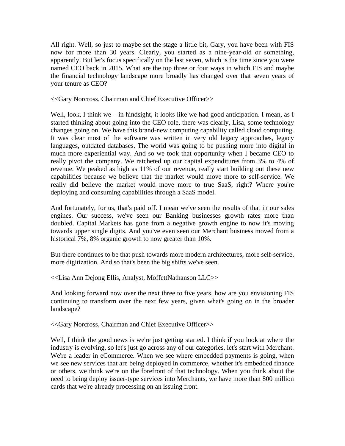All right. Well, so just to maybe set the stage a little bit, Gary, you have been with FIS now for more than 30 years. Clearly, you started as a nine-year-old or something, apparently. But let's focus specifically on the last seven, which is the time since you were named CEO back in 2015. What are the top three or four ways in which FIS and maybe the financial technology landscape more broadly has changed over that seven years of your tenure as CEO?

<<Gary Norcross, Chairman and Chief Executive Officer>>

Well, look, I think we – in hindsight, it looks like we had good anticipation. I mean, as I started thinking about going into the CEO role, there was clearly, Lisa, some technology changes going on. We have this brand-new computing capability called cloud computing. It was clear most of the software was written in very old legacy approaches, legacy languages, outdated databases. The world was going to be pushing more into digital in much more experiential way. And so we took that opportunity when I became CEO to really pivot the company. We ratcheted up our capital expenditures from 3% to 4% of revenue. We peaked as high as 11% of our revenue, really start building out these new capabilities because we believe that the market would move more to self-service. We really did believe the market would move more to true SaaS, right? Where you're deploying and consuming capabilities through a SaaS model.

And fortunately, for us, that's paid off. I mean we've seen the results of that in our sales engines. Our success, we've seen our Banking businesses growth rates more than doubled. Capital Markets has gone from a negative growth engine to now it's moving towards upper single digits. And you've even seen our Merchant business moved from a historical 7%, 8% organic growth to now greater than 10%.

But there continues to be that push towards more modern architectures, more self-service, more digitization. And so that's been the big shifts we've seen.

<<Lisa Ann Dejong Ellis, Analyst, MoffettNathanson LLC>>

And looking forward now over the next three to five years, how are you envisioning FIS continuing to transform over the next few years, given what's going on in the broader landscape?

<<Gary Norcross, Chairman and Chief Executive Officer>>

Well, I think the good news is we're just getting started. I think if you look at where the industry is evolving, so let's just go across any of our categories, let's start with Merchant. We're a leader in eCommerce. When we see where embedded payments is going, when we see new services that are being deployed in commerce, whether it's embedded finance or others, we think we're on the forefront of that technology. When you think about the need to being deploy issuer-type services into Merchants, we have more than 800 million cards that we're already processing on an issuing front.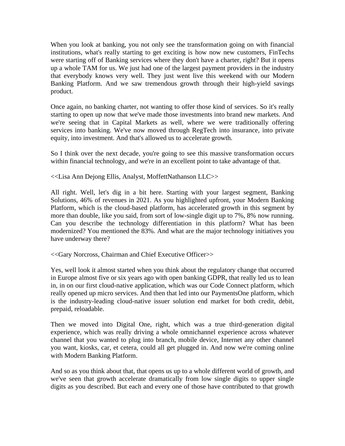When you look at banking, you not only see the transformation going on with financial institutions, what's really starting to get exciting is how now new customers, FinTechs were starting off of Banking services where they don't have a charter, right? But it opens up a whole TAM for us. We just had one of the largest payment providers in the industry that everybody knows very well. They just went live this weekend with our Modern Banking Platform. And we saw tremendous growth through their high-yield savings product.

Once again, no banking charter, not wanting to offer those kind of services. So it's really starting to open up now that we've made those investments into brand new markets. And we're seeing that in Capital Markets as well, where we were traditionally offering services into banking. We've now moved through RegTech into insurance, into private equity, into investment. And that's allowed us to accelerate growth.

So I think over the next decade, you're going to see this massive transformation occurs within financial technology, and we're in an excellent point to take advantage of that.

<<Lisa Ann Dejong Ellis, Analyst, MoffettNathanson LLC>>

All right. Well, let's dig in a bit here. Starting with your largest segment, Banking Solutions, 46% of revenues in 2021. As you highlighted upfront, your Modern Banking Platform, which is the cloud-based platform, has accelerated growth in this segment by more than double, like you said, from sort of low-single digit up to 7%, 8% now running. Can you describe the technology differentiation in this platform? What has been modernized? You mentioned the 83%. And what are the major technology initiatives you have underway there?

<<Gary Norcross, Chairman and Chief Executive Officer>>

Yes, well look it almost started when you think about the regulatory change that occurred in Europe almost five or six years ago with open banking GDPR, that really led us to lean in, in on our first cloud-native application, which was our Code Connect platform, which really opened up micro services. And then that led into our PaymentsOne platform, which is the industry-leading cloud-native issuer solution end market for both credit, debit, prepaid, reloadable.

Then we moved into Digital One, right, which was a true third-generation digital experience, which was really driving a whole omnichannel experience across whatever channel that you wanted to plug into branch, mobile device, Internet any other channel you want, kiosks, car, et cetera, could all get plugged in. And now we're coming online with Modern Banking Platform.

And so as you think about that, that opens us up to a whole different world of growth, and we've seen that growth accelerate dramatically from low single digits to upper single digits as you described. But each and every one of those have contributed to that growth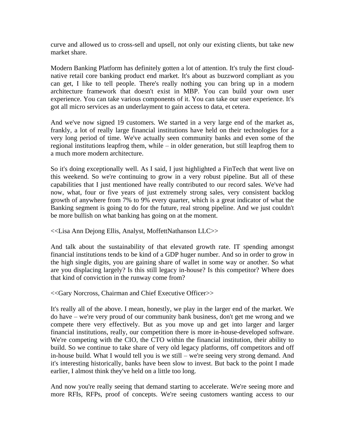curve and allowed us to cross-sell and upsell, not only our existing clients, but take new market share.

Modern Banking Platform has definitely gotten a lot of attention. It's truly the first cloudnative retail core banking product end market. It's about as buzzword compliant as you can get, I like to tell people. There's really nothing you can bring up in a modern architecture framework that doesn't exist in MBP. You can build your own user experience. You can take various components of it. You can take our user experience. It's got all micro services as an underlayment to gain access to data, et cetera.

And we've now signed 19 customers. We started in a very large end of the market as, frankly, a lot of really large financial institutions have held on their technologies for a very long period of time. We've actually seen community banks and even some of the regional institutions leapfrog them, while – in older generation, but still leapfrog them to a much more modern architecture.

So it's doing exceptionally well. As I said, I just highlighted a FinTech that went live on this weekend. So we're continuing to grow in a very robust pipeline. But all of these capabilities that I just mentioned have really contributed to our record sales. We've had now, what, four or five years of just extremely strong sales, very consistent backlog growth of anywhere from 7% to 9% every quarter, which is a great indicator of what the Banking segment is going to do for the future, real strong pipeline. And we just couldn't be more bullish on what banking has going on at the moment.

<<Lisa Ann Dejong Ellis, Analyst, MoffettNathanson LLC>>

And talk about the sustainability of that elevated growth rate. IT spending amongst financial institutions tends to be kind of a GDP huger number. And so in order to grow in the high single digits, you are gaining share of wallet in some way or another. So what are you displacing largely? Is this still legacy in-house? Is this competitor? Where does that kind of conviction in the runway come from?

<<Gary Norcross, Chairman and Chief Executive Officer>>

It's really all of the above. I mean, honestly, we play in the larger end of the market. We do have – we're very proud of our community bank business, don't get me wrong and we compete there very effectively. But as you move up and get into larger and larger financial institutions, really, our competition there is more in-house-developed software. We're competing with the CIO, the CTO within the financial institution, their ability to build. So we continue to take share of very old legacy platforms, off competitors and off in-house build. What I would tell you is we still – we're seeing very strong demand. And it's interesting historically, banks have been slow to invest. But back to the point I made earlier, I almost think they've held on a little too long.

And now you're really seeing that demand starting to accelerate. We're seeing more and more RFIs, RFPs, proof of concepts. We're seeing customers wanting access to our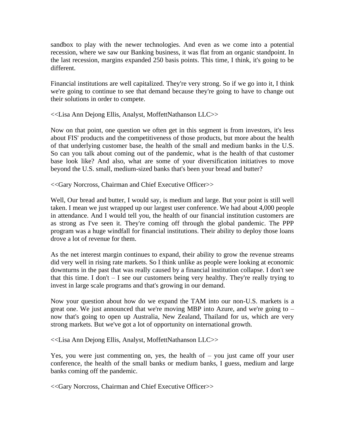sandbox to play with the newer technologies. And even as we come into a potential recession, where we saw our Banking business, it was flat from an organic standpoint. In the last recession, margins expanded 250 basis points. This time, I think, it's going to be different.

Financial institutions are well capitalized. They're very strong. So if we go into it, I think we're going to continue to see that demand because they're going to have to change out their solutions in order to compete.

## <<Lisa Ann Dejong Ellis, Analyst, MoffettNathanson LLC>>

Now on that point, one question we often get in this segment is from investors, it's less about FIS' products and the competitiveness of those products, but more about the health of that underlying customer base, the health of the small and medium banks in the U.S. So can you talk about coming out of the pandemic, what is the health of that customer base look like? And also, what are some of your diversification initiatives to move beyond the U.S. small, medium-sized banks that's been your bread and butter?

<<Gary Norcross, Chairman and Chief Executive Officer>>

Well, Our bread and butter, I would say, is medium and large. But your point is still well taken. I mean we just wrapped up our largest user conference. We had about 4,000 people in attendance. And I would tell you, the health of our financial institution customers are as strong as I've seen it. They're coming off through the global pandemic. The PPP program was a huge windfall for financial institutions. Their ability to deploy those loans drove a lot of revenue for them.

As the net interest margin continues to expand, their ability to grow the revenue streams did very well in rising rate markets. So I think unlike as people were looking at economic downturns in the past that was really caused by a financial institution collapse. I don't see that this time. I don't  $-$  I see our customers being very healthy. They're really trying to invest in large scale programs and that's growing in our demand.

Now your question about how do we expand the TAM into our non-U.S. markets is a great one. We just announced that we're moving MBP into Azure, and we're going to – now that's going to open up Australia, New Zealand, Thailand for us, which are very strong markets. But we've got a lot of opportunity on international growth.

<<Lisa Ann Dejong Ellis, Analyst, MoffettNathanson LLC>>

Yes, you were just commenting on, yes, the health of – you just came off your user conference, the health of the small banks or medium banks, I guess, medium and large banks coming off the pandemic.

<<Gary Norcross, Chairman and Chief Executive Officer>>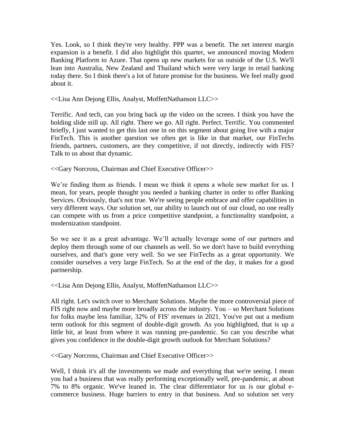Yes. Look, so I think they're very healthy. PPP was a benefit. The net interest margin expansion is a benefit. I did also highlight this quarter, we announced moving Modern Banking Platform to Azure. That opens up new markets for us outside of the U.S. We'll lean into Australia, New Zealand and Thailand which were very large in retail banking today there. So I think there's a lot of future promise for the business. We feel really good about it.

<<Lisa Ann Dejong Ellis, Analyst, MoffettNathanson LLC>>

Terrific. And tech, can you bring back up the video on the screen. I think you have the holding slide still up. All right. There we go. All right. Perfect. Terrific. You commented briefly, I just wanted to get this last one in on this segment about going live with a major FinTech. This is another question we often get is like in that market, our FinTechs friends, partners, customers, are they competitive, if not directly, indirectly with FIS? Talk to us about that dynamic.

<<Gary Norcross, Chairman and Chief Executive Officer>>

We're finding them as friends. I mean we think it opens a whole new market for us. I mean, for years, people thought you needed a banking charter in order to offer Banking Services. Obviously, that's not true. We're seeing people embrace and offer capabilities in very different ways. Our solution set, our ability to launch out of our cloud, no one really can compete with us from a price competitive standpoint, a functionality standpoint, a modernization standpoint.

So we see it as a great advantage. We'll actually leverage some of our partners and deploy them through some of our channels as well. So we don't have to build everything ourselves, and that's gone very well. So we see FinTechs as a great opportunity. We consider ourselves a very large FinTech. So at the end of the day, it makes for a good partnership.

<<Lisa Ann Dejong Ellis, Analyst, MoffettNathanson LLC>>

All right. Let's switch over to Merchant Solutions. Maybe the more controversial piece of FIS right now and maybe more broadly across the industry. You – so Merchant Solutions for folks maybe less familiar, 32% of FIS' revenues in 2021. You've put out a medium term outlook for this segment of double-digit growth. As you highlighted, that is up a little bit, at least from where it was running pre-pandemic. So can you describe what gives you confidence in the double-digit growth outlook for Merchant Solutions?

<<Gary Norcross, Chairman and Chief Executive Officer>>

Well, I think it's all the investments we made and everything that we're seeing. I mean you had a business that was really performing exceptionally well, pre-pandemic, at about 7% to 8% organic. We've leaned in. The clear differentiator for us is our global ecommerce business. Huge barriers to entry in that business. And so solution set very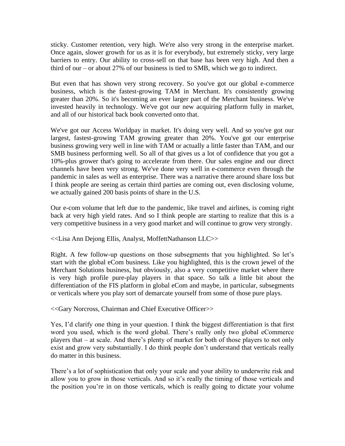sticky. Customer retention, very high. We're also very strong in the enterprise market. Once again, slower growth for us as it is for everybody, but extremely sticky, very large barriers to entry. Our ability to cross-sell on that base has been very high. And then a third of our – or about 27% of our business is tied to SMB, which we go to indirect.

But even that has shown very strong recovery. So you've got our global e-commerce business, which is the fastest-growing TAM in Merchant. It's consistently growing greater than 20%. So it's becoming an ever larger part of the Merchant business. We've invested heavily in technology. We've got our new acquiring platform fully in market, and all of our historical back book converted onto that.

We've got our Access Worldpay in market. It's doing very well. And so you've got our largest, fastest-growing TAM growing greater than 20%. You've got our enterprise business growing very well in line with TAM or actually a little faster than TAM, and our SMB business performing well. So all of that gives us a lot of confidence that you got a 10%-plus grower that's going to accelerate from there. Our sales engine and our direct channels have been very strong. We've done very well in e-commerce even through the pandemic in sales as well as enterprise. There was a narrative there around share loss but I think people are seeing as certain third parties are coming out, even disclosing volume, we actually gained 200 basis points of share in the U.S.

Our e-com volume that left due to the pandemic, like travel and airlines, is coming right back at very high yield rates. And so I think people are starting to realize that this is a very competitive business in a very good market and will continue to grow very strongly.

<<Lisa Ann Dejong Ellis, Analyst, MoffettNathanson LLC>>

Right. A few follow-up questions on those subsegments that you highlighted. So let's start with the global eCom business. Like you highlighted, this is the crown jewel of the Merchant Solutions business, but obviously, also a very competitive market where there is very high profile pure-play players in that space. So talk a little bit about the differentiation of the FIS platform in global eCom and maybe, in particular, subsegments or verticals where you play sort of demarcate yourself from some of those pure plays.

<<Gary Norcross, Chairman and Chief Executive Officer>>

Yes, I'd clarify one thing in your question. I think the biggest differentiation is that first word you used, which is the word global. There's really only two global eCommerce players that – at scale. And there's plenty of market for both of those players to not only exist and grow very substantially. I do think people don't understand that verticals really do matter in this business.

There's a lot of sophistication that only your scale and your ability to underwrite risk and allow you to grow in those verticals. And so it's really the timing of those verticals and the position you're in on those verticals, which is really going to dictate your volume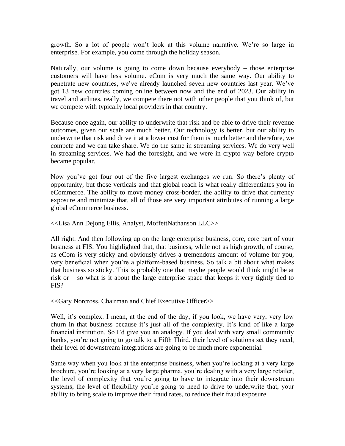growth. So a lot of people won't look at this volume narrative. We're so large in enterprise. For example, you come through the holiday season.

Naturally, our volume is going to come down because everybody – those enterprise customers will have less volume. eCom is very much the same way. Our ability to penetrate new countries, we've already launched seven new countries last year. We've got 13 new countries coming online between now and the end of 2023. Our ability in travel and airlines, really, we compete there not with other people that you think of, but we compete with typically local providers in that country.

Because once again, our ability to underwrite that risk and be able to drive their revenue outcomes, given our scale are much better. Our technology is better, but our ability to underwrite that risk and drive it at a lower cost for them is much better and therefore, we compete and we can take share. We do the same in streaming services. We do very well in streaming services. We had the foresight, and we were in crypto way before crypto became popular.

Now you've got four out of the five largest exchanges we run. So there's plenty of opportunity, but those verticals and that global reach is what really differentiates you in eCommerce. The ability to move money cross-border, the ability to drive that currency exposure and minimize that, all of those are very important attributes of running a large global eCommerce business.

## <<Lisa Ann Dejong Ellis, Analyst, MoffettNathanson LLC>>

All right. And then following up on the large enterprise business, core, core part of your business at FIS. You highlighted that, that business, while not as high growth, of course, as eCom is very sticky and obviously drives a tremendous amount of volume for you, very beneficial when you're a platform-based business. So talk a bit about what makes that business so sticky. This is probably one that maybe people would think might be at risk or – so what is it about the large enterprise space that keeps it very tightly tied to FIS?

<<Gary Norcross, Chairman and Chief Executive Officer>>

Well, it's complex. I mean, at the end of the day, if you look, we have very, very low churn in that business because it's just all of the complexity. It's kind of like a large financial institution. So I'd give you an analogy. If you deal with very small community banks, you're not going to go talk to a Fifth Third. their level of solutions set they need, their level of downstream integrations are going to be much more exponential.

Same way when you look at the enterprise business, when you're looking at a very large brochure, you're looking at a very large pharma, you're dealing with a very large retailer, the level of complexity that you're going to have to integrate into their downstream systems, the level of flexibility you're going to need to drive to underwrite that, your ability to bring scale to improve their fraud rates, to reduce their fraud exposure.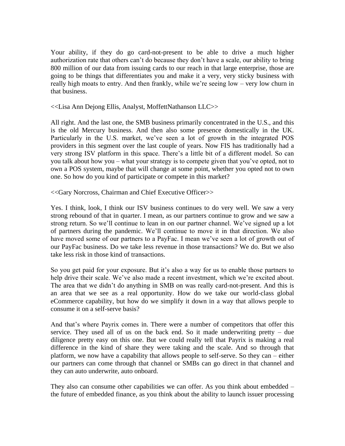Your ability, if they do go card-not-present to be able to drive a much higher authorization rate that others can't do because they don't have a scale, our ability to bring 800 million of our data from issuing cards to our reach in that large enterprise, those are going to be things that differentiates you and make it a very, very sticky business with really high moats to entry. And then frankly, while we're seeing low – very low churn in that business.

<<Lisa Ann Dejong Ellis, Analyst, MoffettNathanson LLC>>

All right. And the last one, the SMB business primarily concentrated in the U.S., and this is the old Mercury business. And then also some presence domestically in the UK. Particularly in the U.S. market, we've seen a lot of growth in the integrated POS providers in this segment over the last couple of years. Now FIS has traditionally had a very strong ISV platform in this space. There's a little bit of a different model. So can you talk about how you – what your strategy is to compete given that you've opted, not to own a POS system, maybe that will change at some point, whether you opted not to own one. So how do you kind of participate or compete in this market?

<<Gary Norcross, Chairman and Chief Executive Officer>>

Yes. I think, look, I think our ISV business continues to do very well. We saw a very strong rebound of that in quarter. I mean, as our partners continue to grow and we saw a strong return. So we'll continue to lean in on our partner channel. We've signed up a lot of partners during the pandemic. We'll continue to move it in that direction. We also have moved some of our partners to a PayFac. I mean we've seen a lot of growth out of our PayFac business. Do we take less revenue in those transactions? We do. But we also take less risk in those kind of transactions.

So you get paid for your exposure. But it's also a way for us to enable those partners to help drive their scale. We've also made a recent investment, which we're excited about. The area that we didn't do anything in SMB on was really card-not-present. And this is an area that we see as a real opportunity. How do we take our world-class global eCommerce capability, but how do we simplify it down in a way that allows people to consume it on a self-serve basis?

And that's where Payrix comes in. There were a number of competitors that offer this service. They used all of us on the back end. So it made underwriting pretty – due diligence pretty easy on this one. But we could really tell that Payrix is making a real difference in the kind of share they were taking and the scale. And so through that platform, we now have a capability that allows people to self-serve. So they can – either our partners can come through that channel or SMBs can go direct in that channel and they can auto underwrite, auto onboard.

They also can consume other capabilities we can offer. As you think about embedded – the future of embedded finance, as you think about the ability to launch issuer processing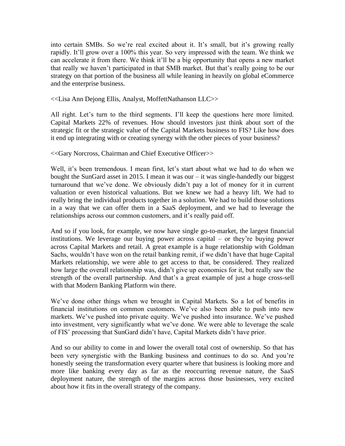into certain SMBs. So we're real excited about it. It's small, but it's growing really rapidly. It'll grow over a 100% this year. So very impressed with the team. We think we can accelerate it from there. We think it'll be a big opportunity that opens a new market that really we haven't participated in that SMB market. But that's really going to be our strategy on that portion of the business all while leaning in heavily on global eCommerce and the enterprise business.

## <<Lisa Ann Dejong Ellis, Analyst, MoffettNathanson LLC>>

All right. Let's turn to the third segments. I'll keep the questions here more limited. Capital Markets 22% of revenues. How should investors just think about sort of the strategic fit or the strategic value of the Capital Markets business to FIS? Like how does it end up integrating with or creating synergy with the other pieces of your business?

## <<Gary Norcross, Chairman and Chief Executive Officer>>

Well, it's been tremendous. I mean first, let's start about what we had to do when we bought the SunGard asset in 2015. I mean it was our – it was single-handedly our biggest turnaround that we've done. We obviously didn't pay a lot of money for it in current valuation or even historical valuations. But we knew we had a heavy lift. We had to really bring the individual products together in a solution. We had to build those solutions in a way that we can offer them in a SaaS deployment, and we had to leverage the relationships across our common customers, and it's really paid off.

And so if you look, for example, we now have single go-to-market, the largest financial institutions. We leverage our buying power across capital – or they're buying power across Capital Markets and retail. A great example is a huge relationship with Goldman Sachs, wouldn't have won on the retail banking remit, if we didn't have that huge Capital Markets relationship, we were able to get access to that, be considered. They realized how large the overall relationship was, didn't give up economics for it, but really saw the strength of the overall partnership. And that's a great example of just a huge cross-sell with that Modern Banking Platform win there.

We've done other things when we brought in Capital Markets. So a lot of benefits in financial institutions on common customers. We've also been able to push into new markets. We've pushed into private equity. We've pushed into insurance. We've pushed into investment, very significantly what we've done. We were able to leverage the scale of FIS' processing that SunGard didn't have, Capital Markets didn't have prior.

And so our ability to come in and lower the overall total cost of ownership. So that has been very synergistic with the Banking business and continues to do so. And you're honestly seeing the transformation every quarter where that business is looking more and more like banking every day as far as the reoccurring revenue nature, the SaaS deployment nature, the strength of the margins across those businesses, very excited about how it fits in the overall strategy of the company.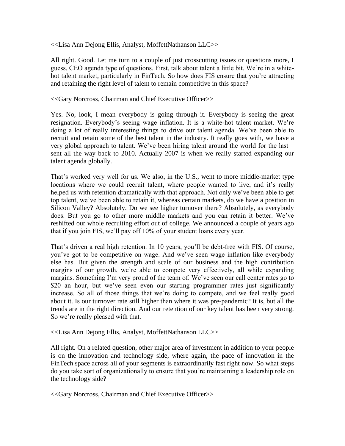<<Lisa Ann Dejong Ellis, Analyst, MoffettNathanson LLC>>

All right. Good. Let me turn to a couple of just crosscutting issues or questions more, I guess, CEO agenda type of questions. First, talk about talent a little bit. We're in a whitehot talent market, particularly in FinTech. So how does FIS ensure that you're attracting and retaining the right level of talent to remain competitive in this space?

<<Gary Norcross, Chairman and Chief Executive Officer>>

Yes. No, look, I mean everybody is going through it. Everybody is seeing the great resignation. Everybody's seeing wage inflation. It is a white-hot talent market. We're doing a lot of really interesting things to drive our talent agenda. We've been able to recruit and retain some of the best talent in the industry. It really goes with, we have a very global approach to talent. We've been hiring talent around the world for the last – sent all the way back to 2010. Actually 2007 is when we really started expanding our talent agenda globally.

That's worked very well for us. We also, in the U.S., went to more middle-market type locations where we could recruit talent, where people wanted to live, and it's really helped us with retention dramatically with that approach. Not only we've been able to get top talent, we've been able to retain it, whereas certain markets, do we have a position in Silicon Valley? Absolutely. Do we see higher turnover there? Absolutely, as everybody does. But you go to other more middle markets and you can retain it better. We've reshifted our whole recruiting effort out of college. We announced a couple of years ago that if you join FIS, we'll pay off 10% of your student loans every year.

That's driven a real high retention. In 10 years, you'll be debt-free with FIS. Of course, you've got to be competitive on wage. And we've seen wage inflation like everybody else has. But given the strength and scale of our business and the high contribution margins of our growth, we're able to compete very effectively, all while expanding margins. Something I'm very proud of the team of. We've seen our call center rates go to \$20 an hour, but we've seen even our starting programmer rates just significantly increase. So all of those things that we're doing to compete, and we feel really good about it. Is our turnover rate still higher than where it was pre-pandemic? It is, but all the trends are in the right direction. And our retention of our key talent has been very strong. So we're really pleased with that.

<<Lisa Ann Dejong Ellis, Analyst, MoffettNathanson LLC>>

All right. On a related question, other major area of investment in addition to your people is on the innovation and technology side, where again, the pace of innovation in the FinTech space across all of your segments is extraordinarily fast right now. So what steps do you take sort of organizationally to ensure that you're maintaining a leadership role on the technology side?

<<Gary Norcross, Chairman and Chief Executive Officer>>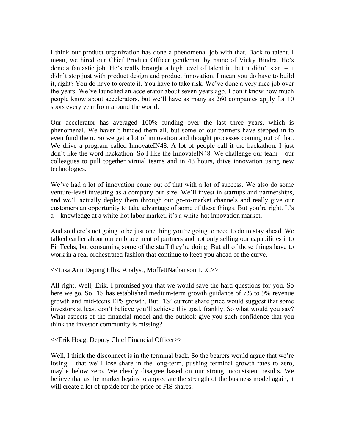I think our product organization has done a phenomenal job with that. Back to talent. I mean, we hired our Chief Product Officer gentleman by name of Vicky Bindra. He's done a fantastic job. He's really brought a high level of talent in, but it didn't start – it didn't stop just with product design and product innovation. I mean you do have to build it, right? You do have to create it. You have to take risk. We've done a very nice job over the years. We've launched an accelerator about seven years ago. I don't know how much people know about accelerators, but we'll have as many as 260 companies apply for 10 spots every year from around the world.

Our accelerator has averaged 100% funding over the last three years, which is phenomenal. We haven't funded them all, but some of our partners have stepped in to even fund them. So we get a lot of innovation and thought processes coming out of that. We drive a program called InnovateIN48. A lot of people call it the hackathon. I just don't like the word hackathon. So I like the InnovateIN48. We challenge our team – our colleagues to pull together virtual teams and in 48 hours, drive innovation using new technologies.

We've had a lot of innovation come out of that with a lot of success. We also do some venture-level investing as a company our size. We'll invest in startups and partnerships, and we'll actually deploy them through our go-to-market channels and really give our customers an opportunity to take advantage of some of these things. But you're right. It's a – knowledge at a white-hot labor market, it's a white-hot innovation market.

And so there's not going to be just one thing you're going to need to do to stay ahead. We talked earlier about our embracement of partners and not only selling our capabilities into FinTechs, but consuming some of the stuff they're doing. But all of those things have to work in a real orchestrated fashion that continue to keep you ahead of the curve.

<<Lisa Ann Dejong Ellis, Analyst, MoffettNathanson LLC>>

All right. Well, Erik, I promised you that we would save the hard questions for you. So here we go. So FIS has established medium-term growth guidance of 7% to 9% revenue growth and mid-teens EPS growth. But FIS' current share price would suggest that some investors at least don't believe you'll achieve this goal, frankly. So what would you say? What aspects of the financial model and the outlook give you such confidence that you think the investor community is missing?

<<Erik Hoag, Deputy Chief Financial Officer>>

Well, I think the disconnect is in the terminal back. So the bearers would argue that we're losing – that we'll lose share in the long-term, pushing terminal growth rates to zero, maybe below zero. We clearly disagree based on our strong inconsistent results. We believe that as the market begins to appreciate the strength of the business model again, it will create a lot of upside for the price of FIS shares.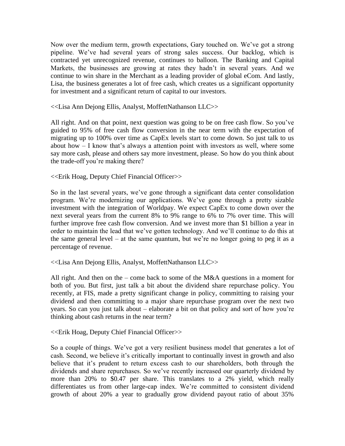Now over the medium term, growth expectations, Gary touched on. We've got a strong pipeline. We've had several years of strong sales success. Our backlog, which is contracted yet unrecognized revenue, continues to balloon. The Banking and Capital Markets, the businesses are growing at rates they hadn't in several years. And we continue to win share in the Merchant as a leading provider of global eCom. And lastly, Lisa, the business generates a lot of free cash, which creates us a significant opportunity for investment and a significant return of capital to our investors.

<<Lisa Ann Dejong Ellis, Analyst, MoffettNathanson LLC>>

All right. And on that point, next question was going to be on free cash flow. So you've guided to 95% of free cash flow conversion in the near term with the expectation of migrating up to 100% over time as CapEx levels start to come down. So just talk to us about how – I know that's always a attention point with investors as well, where some say more cash, please and others say more investment, please. So how do you think about the trade-off you're making there?

<<Erik Hoag, Deputy Chief Financial Officer>>

So in the last several years, we've gone through a significant data center consolidation program. We're modernizing our applications. We've gone through a pretty sizable investment with the integration of Worldpay. We expect CapEx to come down over the next several years from the current 8% to 9% range to 6% to 7% over time. This will further improve free cash flow conversion. And we invest more than \$1 billion a year in order to maintain the lead that we've gotten technology. And we'll continue to do this at the same general level – at the same quantum, but we're no longer going to peg it as a percentage of revenue.

<<Lisa Ann Dejong Ellis, Analyst, MoffettNathanson LLC>>

All right. And then on the – come back to some of the  $M&A$  questions in a moment for both of you. But first, just talk a bit about the dividend share repurchase policy. You recently, at FIS, made a pretty significant change in policy, committing to raising your dividend and then committing to a major share repurchase program over the next two years. So can you just talk about – elaborate a bit on that policy and sort of how you're thinking about cash returns in the near term?

<<Erik Hoag, Deputy Chief Financial Officer>>

So a couple of things. We've got a very resilient business model that generates a lot of cash. Second, we believe it's critically important to continually invest in growth and also believe that it's prudent to return excess cash to our shareholders, both through the dividends and share repurchases. So we've recently increased our quarterly dividend by more than 20% to \$0.47 per share. This translates to a 2% yield, which really differentiates us from other large-cap index. We're committed to consistent dividend growth of about 20% a year to gradually grow dividend payout ratio of about 35%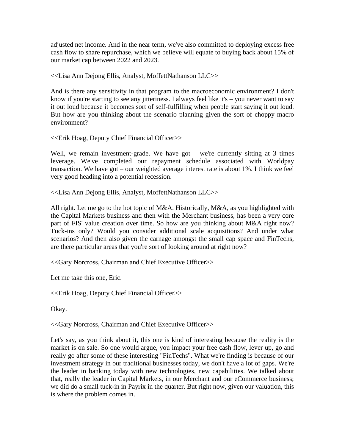adjusted net income. And in the near term, we've also committed to deploying excess free cash flow to share repurchase, which we believe will equate to buying back about 15% of our market cap between 2022 and 2023.

<<Lisa Ann Dejong Ellis, Analyst, MoffettNathanson LLC>>

And is there any sensitivity in that program to the macroeconomic environment? I don't know if you're starting to see any jitteriness. I always feel like it's – you never want to say it out loud because it becomes sort of self-fulfilling when people start saying it out loud. But how are you thinking about the scenario planning given the sort of choppy macro environment?

<<Erik Hoag, Deputy Chief Financial Officer>>

Well, we remain investment-grade. We have got – we're currently sitting at 3 times leverage. We've completed our repayment schedule associated with Worldpay transaction. We have got – our weighted average interest rate is about 1%. I think we feel very good heading into a potential recession.

<<Lisa Ann Dejong Ellis, Analyst, MoffettNathanson LLC>>

All right. Let me go to the hot topic of M&A. Historically, M&A, as you highlighted with the Capital Markets business and then with the Merchant business, has been a very core part of FIS' value creation over time. So how are you thinking about M&A right now? Tuck-ins only? Would you consider additional scale acquisitions? And under what scenarios? And then also given the carnage amongst the small cap space and FinTechs, are there particular areas that you're sort of looking around at right now?

<<Gary Norcross, Chairman and Chief Executive Officer>>

Let me take this one, Eric.

<<Erik Hoag, Deputy Chief Financial Officer>>

Okay.

<<Gary Norcross, Chairman and Chief Executive Officer>>

Let's say, as you think about it, this one is kind of interesting because the reality is the market is on sale. So one would argue, you impact your free cash flow, lever up, go and really go after some of these interesting "FinTechs". What we're finding is because of our investment strategy in our traditional businesses today, we don't have a lot of gaps. We're the leader in banking today with new technologies, new capabilities. We talked about that, really the leader in Capital Markets, in our Merchant and our eCommerce business; we did do a small tuck-in in Payrix in the quarter. But right now, given our valuation, this is where the problem comes in.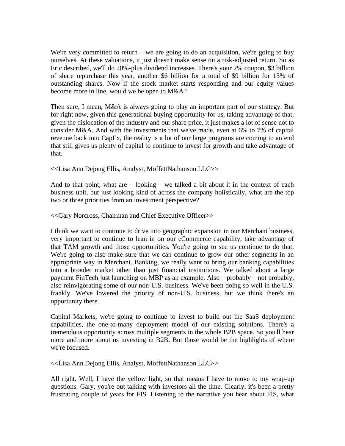We're very committed to return – we are going to do an acquisition, we're going to buy ourselves. At these valuations, it just doesn't make sense on a risk-adjusted return. So as Eric described, we'll do 20%-plus dividend increases. There's your 2% coupon, \$3 billion of share repurchase this year, another \$6 billion for a total of \$9 billion for 15% of outstanding shares. Now if the stock market starts responding and our equity values become more in line, would we be open to M&A?

Then sure, I mean, M&A is always going to play an important part of our strategy. But for right now, given this generational buying opportunity for us, taking advantage of that, given the dislocation of the industry and our share price, it just makes a lot of sense not to consider M&A. And with the investments that we've made, even at 6% to 7% of capital revenue back into CapEx, the reality is a lot of our large programs are coming to an end that still gives us plenty of capital to continue to invest for growth and take advantage of that.

<<Lisa Ann Dejong Ellis, Analyst, MoffettNathanson LLC>>

And to that point, what are  $-$  looking  $-$  we talked a bit about it in the context of each business unit, but just looking kind of across the company holistically, what are the top two or three priorities from an investment perspective?

<<Gary Norcross, Chairman and Chief Executive Officer>>

I think we want to continue to drive into geographic expansion in our Merchant business, very important to continue to lean in on our eCommerce capability, take advantage of that TAM growth and those opportunities. You're going to see us continue to do that. We're going to also make sure that we can continue to grow our other segments in an appropriate way in Merchant. Banking, we really want to bring our banking capabilities into a broader market other than just financial institutions. We talked about a large payment FinTech just launching on MBP as an example. Also – probably – not probably, also reinvigorating some of our non-U.S. business. We've been doing so well in the U.S. frankly. We've lowered the priority of non-U.S. business, but we think there's an opportunity there.

Capital Markets, we're going to continue to invest to build out the SaaS deployment capabilities, the one-to-many deployment model of our existing solutions. There's a tremendous opportunity across multiple segments in the whole B2B space. So you'll hear more and more about us investing in B2B. But those would be the highlights of where we're focused.

<<Lisa Ann Dejong Ellis, Analyst, MoffettNathanson LLC>>

All right. Well, I have the yellow light, so that means I have to move to my wrap-up questions. Gary, you're out talking with investors all the time. Clearly, it's been a pretty frustrating couple of years for FIS. Listening to the narrative you hear about FIS, what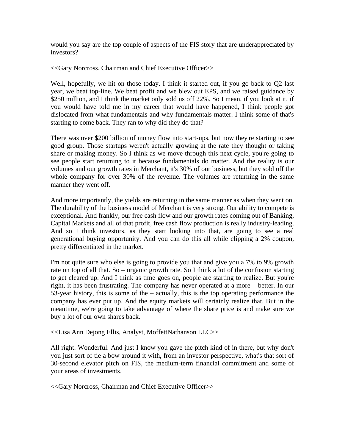would you say are the top couple of aspects of the FIS story that are underappreciated by investors?

<<Gary Norcross, Chairman and Chief Executive Officer>>

Well, hopefully, we hit on those today. I think it started out, if you go back to Q2 last year, we beat top-line. We beat profit and we blew out EPS, and we raised guidance by \$250 million, and I think the market only sold us off 22%. So I mean, if you look at it, if you would have told me in my career that would have happened, I think people got dislocated from what fundamentals and why fundamentals matter. I think some of that's starting to come back. They ran to why did they do that?

There was over \$200 billion of money flow into start-ups, but now they're starting to see good group. Those startups weren't actually growing at the rate they thought or taking share or making money. So I think as we move through this next cycle, you're going to see people start returning to it because fundamentals do matter. And the reality is our volumes and our growth rates in Merchant, it's 30% of our business, but they sold off the whole company for over 30% of the revenue. The volumes are returning in the same manner they went off.

And more importantly, the yields are returning in the same manner as when they went on. The durability of the business model of Merchant is very strong. Our ability to compete is exceptional. And frankly, our free cash flow and our growth rates coming out of Banking, Capital Markets and all of that profit, free cash flow production is really industry-leading. And so I think investors, as they start looking into that, are going to see a real generational buying opportunity. And you can do this all while clipping a 2% coupon, pretty differentiated in the market.

I'm not quite sure who else is going to provide you that and give you a 7% to 9% growth rate on top of all that. So – organic growth rate. So I think a lot of the confusion starting to get cleared up. And I think as time goes on, people are starting to realize. But you're right, it has been frustrating. The company has never operated at a more – better. In our 53-year history, this is some of the – actually, this is the top operating performance the company has ever put up. And the equity markets will certainly realize that. But in the meantime, we're going to take advantage of where the share price is and make sure we buy a lot of our own shares back.

<<Lisa Ann Dejong Ellis, Analyst, MoffettNathanson LLC>>

All right. Wonderful. And just I know you gave the pitch kind of in there, but why don't you just sort of tie a bow around it with, from an investor perspective, what's that sort of 30-second elevator pitch on FIS, the medium-term financial commitment and some of your areas of investments.

<<Gary Norcross, Chairman and Chief Executive Officer>>